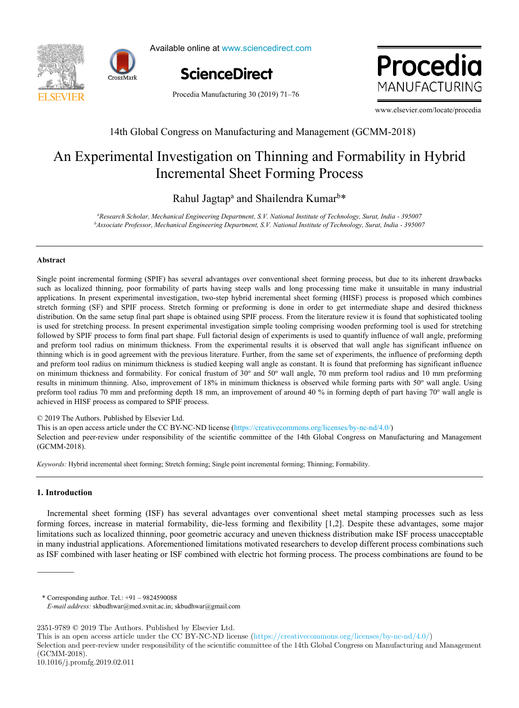



Available online at www.sciencedirect.com<br>.



Procedia wanufa

Procedia Manufacturing 30 (2019) 71–76

www.elsevier.com/locate/procedia

### 14th Global Congress on Manufacturing and Management (GCMM-2018) 14th Global Congress on Manufacturing and Management (GCMM-2018)

## Incremental Sheet Forming Process An Experimental Investigation on Thinning and Formability in Hybrid An Experimental Investigation on Thinning and Formability in Hybrid

### Rahul Jagtap<sup>a</sup> and Shailendra Kumar<sup>b\*</sup>

<sup>a</sup>Research Scholar, Mechanical Engineering Department, S.V. National Institute of Technology, Surat, India - 395007 Associate Professor, Mechanical Engineering Department, S.V. National Institute of Technology, Surat, India - 395007<br>Associate Professor, Mechanical Engineering Department, S.V. National Institute of Technology, Surat, Ind

### **Abstract Abstract**

Single point incremental forming (SPIF) has several advantages over conventional sheet forming process, but due to its inherent drawbacks Single point incremental forming (SPIF) has several advantages over conventional sheet forming process, but due to its inherent drawbacks<br>such as localized thinning, poor formability of parts having steep walls and long pr is used for stretching process. In present experimental investigation simple tooling comprising wooden preforming tool is used for stretching thinning which is in good agreement with the previous literature. Further, from the same set of experiments, the influence of preforming depth thinning which is in good agreement with the previous literature. Further, from and preform tool radius on minimum thickness is studied keeping wall angle as constant. It is found that preforming has significant influence on minimum thickness and formability. For conical frustum of 30° and 50° wall angle, 70 mm preform tool radius and 10 mm preforming results in minimum thinning. Also, improvement of 18% in minimum thickness is observed while forming parts with 50° wall angle. Using preform tool radius 70 mm and preform ing depth 18 mm, an improvement of around 40 % in forming depth of part having 70° wall angle is<br>achieved in HISE presents a compared to SDE presents. definitives in the process as computed to set the process. applications. In present experimental investigation, two-step hybrid incremental sheet forming (HISF) process is proposed which combines stretch forming (SF) and SPIF process. Stretch forming or preforming is done in order to get intermediate shape and desired thickness distribution. On the same setup final part shape is obtained using SPIF process. From the literature review it is found that sophisticated tooling followed by SPIF process to form final part shape. Full factorial design of experiments is used to quantify influence of wall angle, preforming and preform tool radius on minimum thickness. From the experimental results it is observed that wall angle has significant influence on achieved in HISF process as compared to SPIF process. achieved in HISF process as compared to SPIF process.

© 2019 The Authors. Published by Elsevier Ltd.

This is an open access article under the CC BY-NC-ND license (https://creativecommons.org/licenses/by-nc-nd/4.0/)

Selection and peer-review under responsibility of the scientific committee of the 14th Global Congress on Manufacturing and Management (GCMM 2018)  $\overline{\phantom{a}}$ (GCMM-2018). (GCMM-2018). (GCMM-2018).

Peer-review under responsibility of the scientific committee of the Manufacturing Engineering Society International Conference

Keywords: Hybrid incremental sheet forming; Stretch forming; Single point incremental forming; Thinning; Formability.

# 2017. **1. Introduction 1. Introduction**

Incremental sheet forming (ISF) has several advantages over conventional sheet metal stamping processes such as less limitations such as localized thinning, poor geometric accuracy and uneven thickness distribution make ISF process unacceptable as ISF combined with laser heating or ISF combined with electric hot forming process. The process combinations are found to be forming forces, increase in material formability, die-less forming and flexibility [1,2]. Despite these advantages, some major in many industrial applications. Aforementioned limitations motivated researchers to develop different process combinations such

in modern production systems. In general, it is defined as unused capacity or production potential and capacity or production potential and capacity or production potential and capacity or production potential and capacity

 $*$  Corresponding author. Tel.:  $+91 - 9824590088$ 

2351-9789 $©$  2019 The Authors. Published by Elsevier Ltd.

*E-mail address:* skbudhwar@med.svnit.ac.in; skbudhwar@gmail.com *E-mail address:* skbudhwar@med.svnit.ac.in; skbudhwar@gmail.com

This is an open access article under the CC BY-NC-ND license (https://creativecommons.org/licenses/by-nc-nd/4.0/)

Selection and peer-review under responsibility of the scientific committee of the 14th Global Congress on Manufacturing and Management (GCMM-2018).

<sup>10.1016/</sup>j.promfg.2019.02.011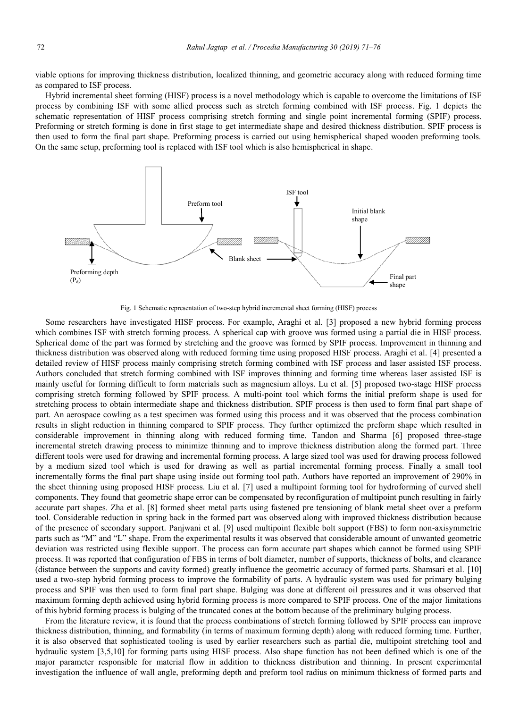viable options for improving thickness distribution, localized thinning, and geometric accuracy along with reduced forming time as compared to ISF process.

Hybrid incremental sheet forming (HISF) process is a novel methodology which is capable to overcome the limitations of ISF process by combining ISF with some allied process such as stretch forming combined with ISF process. Fig. 1 depicts the schematic representation of HISF process comprising stretch forming and single point incremental forming (SPIF) process. Preforming or stretch forming is done in first stage to get intermediate shape and desired thickness distribution. SPIF process is then used to form the final part shape. Preforming process is carried out using hemispherical shaped wooden preforming tools. On the same setup, preforming tool is replaced with ISF tool which is also hemispherical in shape.



Fig. 1 Schematic representation of two-step hybrid incremental sheet forming (HISF) process

Some researchers have investigated HISF process. For example, Araghi et al. [3] proposed a new hybrid forming process which combines ISF with stretch forming process. A spherical cap with groove was formed using a partial die in HISF process. Spherical dome of the part was formed by stretching and the groove was formed by SPIF process. Improvement in thinning and thickness distribution was observed along with reduced forming time using proposed HISF process. Araghi et al. [4] presented a detailed review of HISF process mainly comprising stretch forming combined with ISF process and laser assisted ISF process. Authors concluded that stretch forming combined with ISF improves thinning and forming time whereas laser assisted ISF is mainly useful for forming difficult to form materials such as magnesium alloys. Lu et al. [5] proposed two-stage HISF process comprising stretch forming followed by SPIF process. A multi-point tool which forms the initial preform shape is used for stretching process to obtain intermediate shape and thickness distribution. SPIF process is then used to form final part shape of part. An aerospace cowling as a test specimen was formed using this process and it was observed that the process combination results in slight reduction in thinning compared to SPIF process. They further optimized the preform shape which resulted in considerable improvement in thinning along with reduced forming time. Tandon and Sharma [6] proposed three-stage incremental stretch drawing process to minimize thinning and to improve thickness distribution along the formed part. Three different tools were used for drawing and incremental forming process. A large sized tool was used for drawing process followed by a medium sized tool which is used for drawing as well as partial incremental forming process. Finally a small tool incrementally forms the final part shape using inside out forming tool path. Authors have reported an improvement of 290% in the sheet thinning using proposed HISF process. Liu et al. [7] used a multipoint forming tool for hydroforming of curved shell components. They found that geometric shape error can be compensated by reconfiguration of multipoint punch resulting in fairly accurate part shapes. Zha et al. [8] formed sheet metal parts using fastened pre tensioning of blank metal sheet over a preform tool. Considerable reduction in spring back in the formed part was observed along with improved thickness distribution because of the presence of secondary support. Panjwani et al. [9] used multipoint flexible bolt support (FBS) to form non-axisymmetric parts such as "M" and "L" shape. From the experimental results it was observed that considerable amount of unwanted geometric deviation was restricted using flexible support. The process can form accurate part shapes which cannot be formed using SPIF process. It was reported that configuration of FBS in terms of bolt diameter, number of supports, thickness of bolts, and clearance (distance between the supports and cavity formed) greatly influence the geometric accuracy of formed parts. Shamsari et al. [10] used a two-step hybrid forming process to improve the formability of parts. A hydraulic system was used for primary bulging process and SPIF was then used to form final part shape. Bulging was done at different oil pressures and it was observed that maximum forming depth achieved using hybrid forming process is more compared to SPIF process. One of the major limitations of this hybrid forming process is bulging of the truncated cones at the bottom because of the preliminary bulging process.

From the literature review, it is found that the process combinations of stretch forming followed by SPIF process can improve thickness distribution, thinning, and formability (in terms of maximum forming depth) along with reduced forming time. Further, it is also observed that sophisticated tooling is used by earlier researchers such as partial die, multipoint stretching tool and hydraulic system [3,5,10] for forming parts using HISF process. Also shape function has not been defined which is one of the major parameter responsible for material flow in addition to thickness distribution and thinning. In present experimental investigation the influence of wall angle, preforming depth and preform tool radius on minimum thickness of formed parts and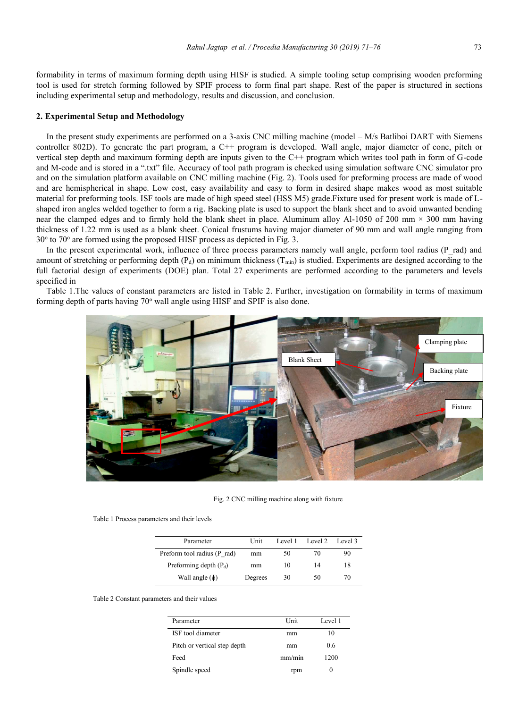formability in terms of maximum forming depth using HISF is studied. A simple tooling setup comprising wooden preforming tool is used for stretch forming followed by SPIF process to form final part shape. Rest of the paper is structured in sections including experimental setup and methodology, results and discussion, and conclusion.

#### **2. Experimental Setup and Methodology**

In the present study experiments are performed on a 3-axis CNC milling machine (model – M/s Batliboi DART with Siemens controller 802D). To generate the part program, a C++ program is developed. Wall angle, major diameter of cone, pitch or vertical step depth and maximum forming depth are inputs given to the C++ program which writes tool path in form of G-code and M-code and is stored in a ".txt" file. Accuracy of tool path program is checked using simulation software CNC simulator pro and on the simulation platform available on CNC milling machine (Fig. 2). Tools used for preforming process are made of wood and are hemispherical in shape. Low cost, easy availability and easy to form in desired shape makes wood as most suitable material for preforming tools. ISF tools are made of high speed steel (HSS M5) grade.Fixture used for present work is made of Lshaped iron angles welded together to form a rig. Backing plate is used to support the blank sheet and to avoid unwanted bending near the clamped edges and to firmly hold the blank sheet in place. Aluminum alloy Al-1050 of 200 mm  $\times$  300 mm having thickness of 1.22 mm is used as a blank sheet. Conical frustums having major diameter of 90 mm and wall angle ranging from  $30^{\circ}$  to  $70^{\circ}$  are formed using the proposed HISF process as depicted in Fig. 3.

In the present experimental work, influence of three process parameters namely wall angle, perform tool radius (P\_rad) and amount of stretching or performing depth  $(P_d)$  on minimum thickness  $(T_{min})$  is studied. Experiments are designed according to the full factorial design of experiments (DOE) plan. Total 27 experiments are performed according to the parameters and levels specified in

Table 1.The values of constant parameters are listed in Table 2. Further, investigation on formability in terms of maximum forming depth of parts having  $70^{\circ}$  wall angle using HISF and SPIF is also done.



Fig. 2 CNC milling machine along with fixture

| Table 1 Process parameters and their levels |  |  |  |  |  |
|---------------------------------------------|--|--|--|--|--|
|---------------------------------------------|--|--|--|--|--|

| Parameter                   | Unit    | Level 1 | Level 2 | Level 3 |
|-----------------------------|---------|---------|---------|---------|
| Preform tool radius (P rad) | mm      | 50      | 70      | 90      |
| Preforming depth $(P_d)$    | mm      | 10      | 14      | 18      |
| Wall angle $(\phi)$         | Degrees | 30      | 50      | 70      |

Table 2 Constant parameters and their values

| Parameter                    | Unit   | Level 1 |
|------------------------------|--------|---------|
| ISF tool diameter            | mm     | 10      |
| Pitch or vertical step depth | mm     | 0.6     |
| Feed                         | mm/min | 1200    |
| Spindle speed                | rpm    | $_{0}$  |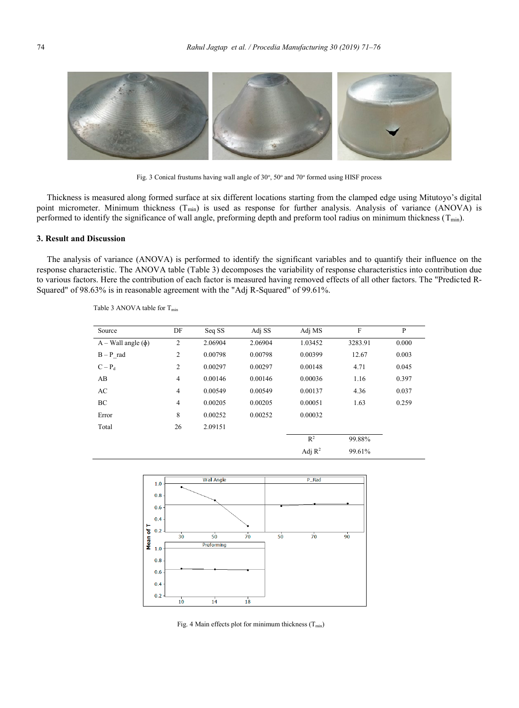

Fig. 3 Conical frustums having wall angle of 30°, 50° and 70° formed using HISF process

Thickness is measured along formed surface at six different locations starting from the clamped edge using Mitutoyo's digital point micrometer. Minimum thickness (T<sub>min</sub>) is used as response for further analysis. Analysis of variance (ANOVA) is performed to identify the significance of wall angle, preforming depth and preform tool radius on minimum thickness  $(T_{min})$ .

### **3. Result and Discussion**

The analysis of variance (ANOVA) is performed to identify the significant variables and to quantify their influence on the response characteristic. The ANOVA table (Table 3) decomposes the variability of response characteristics into contribution due to various factors. Here the contribution of each factor is measured having removed effects of all other factors. The "Predicted R-Squared" of 98.63% is in reasonable agreement with the "Adj R-Squared" of 99.61%.

| Source                 | DF             | Seq SS  | Adj SS  | Adj MS         | F       | P     |
|------------------------|----------------|---------|---------|----------------|---------|-------|
| $A - Wall angle(\phi)$ | 2              | 2.06904 | 2.06904 | 1.03452        | 3283.91 | 0.000 |
| $B - P$ rad            | 2              | 0.00798 | 0.00798 | 0.00399        | 12.67   | 0.003 |
| $C-P_d$                | 2              | 0.00297 | 0.00297 | 0.00148        | 4.71    | 0.045 |
| AB                     | $\overline{4}$ | 0.00146 | 0.00146 | 0.00036        | 1.16    | 0.397 |
| AC                     | $\overline{4}$ | 0.00549 | 0.00549 | 0.00137        | 4.36    | 0.037 |
| BC                     | $\overline{4}$ | 0.00205 | 0.00205 | 0.00051        | 1.63    | 0.259 |
| Error                  | 8              | 0.00252 | 0.00252 | 0.00032        |         |       |
| Total                  | 26             | 2.09151 |         |                |         |       |
|                        |                |         |         | R <sup>2</sup> | 99.88%  |       |
|                        |                |         |         | Adj $R^2$      | 99.61%  |       |

Table 3 ANOVA table for T<sub>min</sub>



Fig. 4 Main effects plot for minimum thickness  $(T_{min})$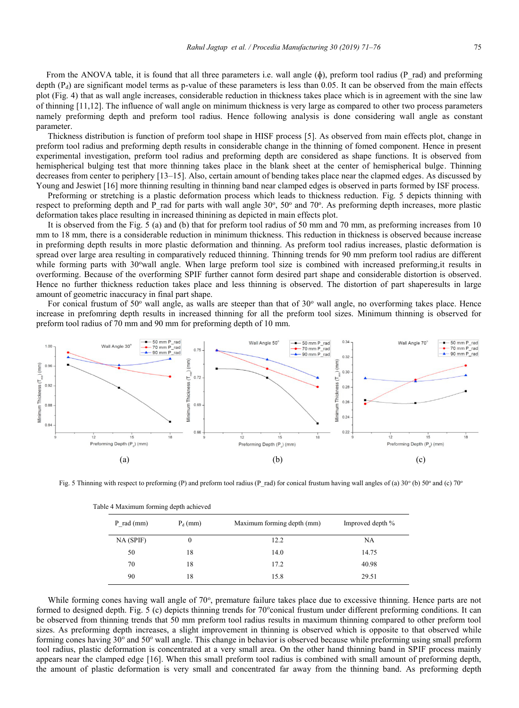From the ANOVA table, it is found that all three parameters i.e. wall angle  $(\phi)$ , preform tool radius (P rad) and preforming depth  $(P_d)$  are significant model terms as p-value of these parameters is less than 0.05. It can be observed from the main effects plot (Fig. 4) that as wall angle increases, considerable reduction in thickness takes place which is in agreement with the sine law of thinning [11,12]. The influence of wall angle on minimum thickness is very large as compared to other two process parameters namely preforming depth and preform tool radius. Hence following analysis is done considering wall angle as constant

parameter. Thickness distribution is function of preform tool shape in HISF process [5]. As observed from main effects plot, change in preform tool radius and preforming depth results in considerable change in the thinning of fomed component. Hence in present experimental investigation, preform tool radius and preforming depth are considered as shape functions. It is observed from hemispherical bulging test that more thinning takes place in the blank sheet at the center of hemispherical bulge. Thinning decreases from center to periphery [13–15]. Also, certain amount of bending takes place near the clapmed edges. As discussed by Young and Jeswiet [16] more thinning resulting in thinning band near clamped edges is observed in parts formed by ISF process.

Preforming or stretching is a plastic deformation process which leads to thickness reduction. Fig. 5 depicts thinning with respect to preforming depth and P\_rad for parts with wall angle 30°, 50° and 70°. As preforming depth increases, more plastic deformation takes place resulting in increased thinining as depicted in main effects plot.

It is observed from the Fig. 5 (a) and (b) that for preform tool radius of 50 mm and 70 mm, as preforming increases from 10 mm to 18 mm, there is a considerable reduction in minimum thickness. This reduction in thickness is observed because increase in preforming depth results in more plastic deformation and thinning. As preform tool radius increases, plastic deformation is spread over large area resulting in comparatively reduced thinning. Thinning trends for 90 mm preform tool radius are different while forming parts with 30° wall angle. When large preform tool size is combined with increased preforming, it results in overforming. Because of the overforming SPIF further cannot form desired part shape and considerable distortion is observed. Hence no further thickness reduction takes place and less thinning is observed. The distortion of part shaperesults in large amount of geometric inaccuracy in final part shape.

For conical frustum of 50 $^{\circ}$  wall angle, as walls are steeper than that of 30 $^{\circ}$  wall angle, no overforming takes place. Hence increase in prefomring depth results in increased thinning for all the preform tool sizes. Minimum thinning is observed for preform tool radius of 70 mm and 90 mm for preforming depth of 10 mm.



Fig. 5 Thinning with respect to preforming (P) and preform tool radius (P\_rad) for conical frustum having wall angles of (a) 30 $^{\circ}$  (b) 50 $^{\circ}$  and (c) 70 $^{\circ}$ 

| $P$ rad (mm) | $P_d$ (mm) | Maximum forming depth (mm) | Improved depth % |  |
|--------------|------------|----------------------------|------------------|--|
| NA (SPIF)    | 0          | 12.2                       | NA               |  |
| 50           | 18         | 14.0                       | 14.75            |  |
| 70           | 18         | 17.2                       | 40.98            |  |
| 90           | 18         | 15.8                       | 29.51            |  |

Table 4 Maximum forming depth achieved

While forming cones having wall angle of 70°, premature failure takes place due to excessive thinning. Hence parts are not formed to designed depth. Fig. 5 (c) depicts thinning trends for 70° conical frustum under different preforming conditions. It can be observed from thinning trends that 50 mm preform tool radius results in maximum thinning compared to other preform tool sizes. As preforming depth increases, a slight improvement in thinning is observed which is opposite to that observed while forming cones having  $30^{\circ}$  and  $50^{\circ}$  wall angle. This change in behavior is observed because while preforming using small preform tool radius, plastic deformation is concentrated at a very small area. On the other hand thinning band in SPIF process mainly appears near the clamped edge [16]. When this small preform tool radius is combined with small amount of preforming depth, the amount of plastic deformation is very small and concentrated far away from the thinning band. As preforming depth